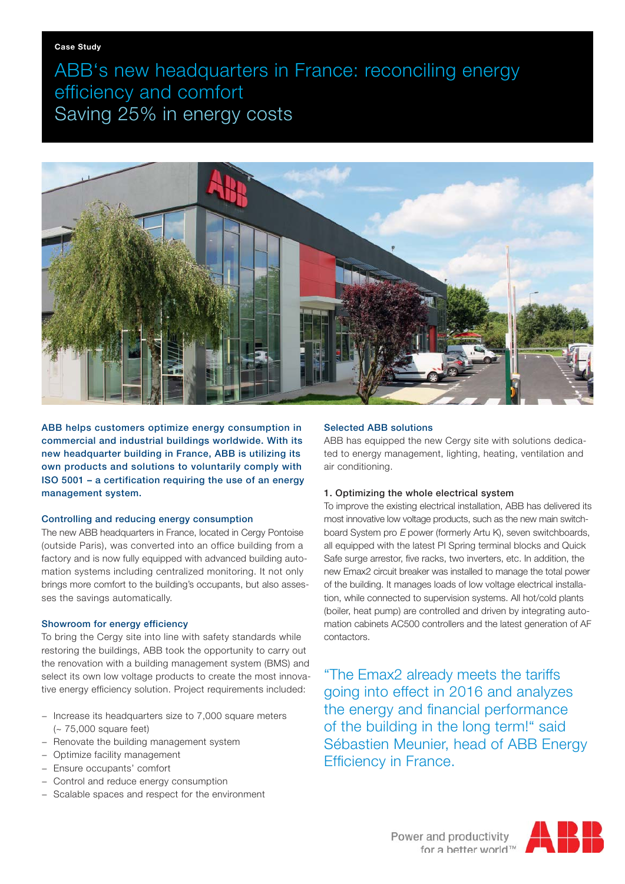ABB's new headquarters in France: reconciling energy efficiency and comfort Saving 25% in energy costs



ABB helps customers optimize energy consumption in commercial and industrial buildings worldwide. With its new headquarter building in France, ABB is utilizing its own products and solutions to voluntarily comply with ISO 5001 – a certification requiring the use of an energy management system.

### Controlling and reducing energy consumption

The new ABB headquarters in France, located in Cergy Pontoise (outside Paris), was converted into an office building from a factory and is now fully equipped with advanced building automation systems including centralized monitoring. It not only brings more comfort to the building's occupants, but also assesses the savings automatically.

# Showroom for energy efficiency

To bring the Cergy site into line with safety standards while restoring the buildings, ABB took the opportunity to carry out the renovation with a building management system (BMS) and select its own low voltage products to create the most innovative energy efficiency solution. Project requirements included:

- − Increase its headquarters size to 7,000 square meters (~ 75,000 square feet)
- − Renovate the building management system
- − Optimize facility management
- − Ensure occupants' comfort
- − Control and reduce energy consumption
- − Scalable spaces and respect for the environment

# Selected ABB solutions

ABB has equipped the new Cergy site with solutions dedicated to energy management, lighting, heating, ventilation and air conditioning.

# 1. Optimizing the whole electrical system

To improve the existing electrical installation, ABB has delivered its most innovative low voltage products, such as the new main switchboard System pro E power (formerly Artu K), seven switchboards, all equipped with the latest PI Spring terminal blocks and Quick Safe surge arrestor, five racks, two inverters, etc. In addition, the new Emax2 circuit breaker was installed to manage the total power of the building. It manages loads of low voltage electrical installation, while connected to supervision systems. All hot/cold plants (boiler, heat pump) are controlled and driven by integrating automation cabinets AC500 controllers and the latest generation of AF contactors.

"The Emax2 already meets the tariffs going into effect in 2016 and analyzes the energy and financial performance of the building in the long term!" said Sébastien Meunier, head of ABB Energy Efficiency in France.